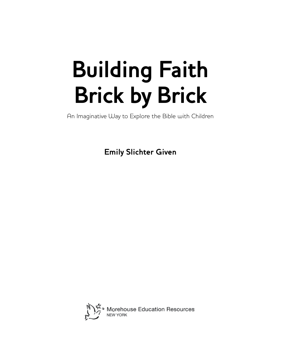# **Building Faith Brick by Brick**

An Imaginative Way to Explore the Bible with Children

**Emily Slichter Given**

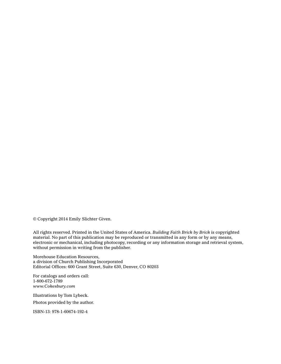© Copyright 2014 Emily Slichter Given.

All rights reserved. Printed in the United States of America. *Building Faith Brick by Brick* is copyrighted material. No part of this publication may be reproduced or transmitted in any form or by any means, electronic or mechanical, including photocopy, recording or any information storage and retrieval system, without permission in writing from the publisher.

Morehouse Education Resources, a division of Church Publishing Incorporated Editorial Offices: 600 Grant Street, Suite 630, Denver, CO 80203

For catalogs and orders call: 1-800-672-1789 *www.Cokesbury.com*

Illustrations by Tom Lybeck.

Photos provided by the author.

ISBN-13: 978-1-60674-192-4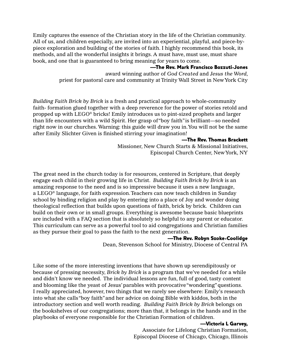Emily captures the essence of the Christian story in the life of the Christian community. All of us, and children especially, are invited into an experiential, playful, and piece-bypiece exploration and building of the stories of faith. I highly recommend this book, its methods, and all the wonderful insights it brings. A must have, must use, must share book, and one that is guaranteed to bring meaning for years to come.

#### —The Rev. Mark Francisco Bozzuti-Jones

award winning author of *God Created* and *Jesus the Word*, priest for pastoral care and community at Trinity Wall Street in New York City

*Building Faith Brick by Brick* is a fresh and practical approach to whole-community faith- formation glued together with a deep reverence for the power of stories retold and propped up with LEGO® bricks! Emily introduces us to pint-sized prophets and larger than life encounters with a wild Spirit. Her grasp of "boy faith" is brilliant—so needed right now in our churches. Warning: this guide will draw you in. You will not be the same after Emily Slichter Given is finished stirring your imagination!

#### —The Rev. Thomas Brackett

Missioner, New Church Starts & Missional Initiatives, Episcopal Church Center, New York, NY

The great need in the church today is for resources, centered in Scripture, that deeply engage each child in their growing life in Christ. *Building Faith Brick by Brick* is an amazing response to the need and is so impressive because it uses a new language, a LEGO® language, for faith expression. Teachers can now teach children in Sunday school by binding religion and play by entering into a place of Joy and wonder doing theological reflection that builds upon questions of faith, brick by brick. Children can build on their own or in small groups. Everything is awesome because basic blueprints are included with a FAQ section that is absolutely so helpful to any parent or educator. This curriculum can serve as a powerful tool to aid congregations and Christian families as they pursue their goal to pass the faith to the next generation.

#### —The Rev. Robyn Szoke-Coolidge

Dean, Stevenson School for Ministry, Diocese of Central PA

Like some of the more interesting inventions that have shown up serendipitously or because of pressing necessity, *Brick by Brick* is a program that we've needed for a while and didn't know we needed. The individual lessons are fun, full of good, tasty content and blooming like the yeast of Jesus' parables with provocative "wondering" questions. I really appreciated, however, two things that we rarely see elsewhere: Emily's research into what she calls "boy faith" and her advice on doing Bible with kiddos, both in the introductory section and well worth reading. *Building Faith Brick by Brick* belongs on the bookshelves of our congregations; more than that, it belongs in the hands and in the playbooks of everyone responsible for the Christian Formation of children.

#### —Victoria L Garvey,

Associate for Lifelong Christian Formation, Episcopal Diocese of Chicago, Chicago, Illinois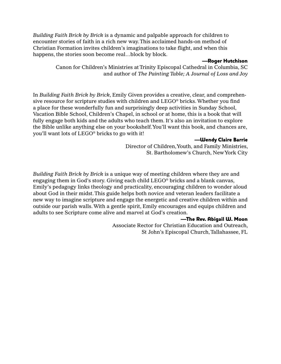*Building Faith Brick by Brick* is a dynamic and palpable approach for children to encounter stories of faith in a rich new way. This acclaimed hands-on method of Christian Formation invites children's imaginations to take flight, and when this happens, the stories soon become real…block by block.

#### —Roger Hutchison

Canon for Children's Ministries at Trinity Episcopal Cathedral in Columbia, SC and author of *The Painting Table; A Journal of Loss and Joy*

In *Building Faith Brick by Brick*, Emily Given provides a creative, clear, and comprehensive resource for scripture studies with children and LEGO® bricks. Whether you find a place for these wonderfully fun and surprisingly deep activities in Sunday School, Vacation Bible School, Children's Chapel, in school or at home, this is a book that will fully engage both kids and the adults who teach them. It's also an invitation to explore the Bible unlike anything else on your bookshelf. You'll want this book, and chances are, you'll want lots of LEGO® bricks to go with it!

#### —Wendy Claire Barrie

Director of Children, Youth, and Family Ministries, St. Bartholomew's Church, New York City

*Building Faith Brick by Brick* is a unique way of meeting children where they are and engaging them in God's story. Giving each child LEGO® bricks and a blank canvas, Emily's pedagogy links theology and practicality, encouraging children to wonder aloud about God in their midst. This guide helps both novice and veteran leaders facilitate a new way to imagine scripture and engage the energetic and creative children within and outside our parish walls. With a gentle spirit, Emily encourages and equips children and adults to see Scripture come alive and marvel at God's creation.

#### —The Rev. Abigail W. Moon

Associate Rector for Christian Education and Outreach, St John's Episcopal Church, Tallahassee, FL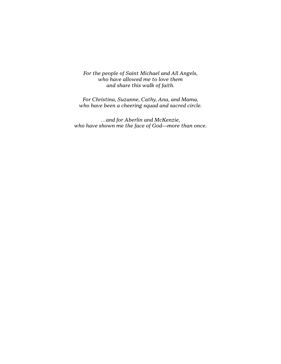*For the people of Saint Michael and All Angels, who have allowed me to love them and share this walk of faith.*

*For Christina, Suzanne, Cathy, Ana, and Mama, who have been a cheering squad and sacred circle.*

*…and for Aberlin and McKenzie, who have shown me the face of God—more than once.*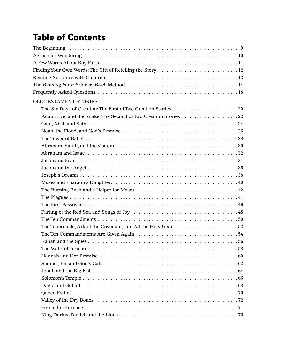### Table of Contents

| <b>OLD TESTAMENT STORIES</b>                                                                          |
|-------------------------------------------------------------------------------------------------------|
|                                                                                                       |
|                                                                                                       |
|                                                                                                       |
|                                                                                                       |
|                                                                                                       |
|                                                                                                       |
|                                                                                                       |
|                                                                                                       |
|                                                                                                       |
|                                                                                                       |
|                                                                                                       |
|                                                                                                       |
|                                                                                                       |
|                                                                                                       |
|                                                                                                       |
|                                                                                                       |
|                                                                                                       |
|                                                                                                       |
|                                                                                                       |
|                                                                                                       |
|                                                                                                       |
|                                                                                                       |
|                                                                                                       |
|                                                                                                       |
| David and Goliath (all contains and contained and contained and Goliath (b) and contain a set of $68$ |
|                                                                                                       |
|                                                                                                       |
|                                                                                                       |
|                                                                                                       |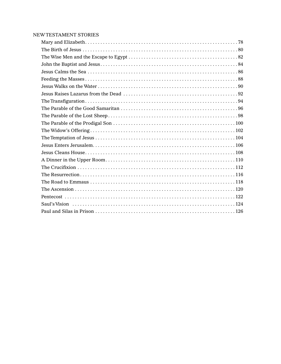#### New Testament Stories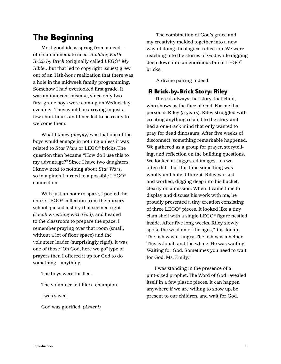#### The Beginning

Most good ideas spring from a need often an immediate need*. Building Faith Brick by Brick* (originally called *LEGO® My Bible*…but that led to copyright issues) grew out of an 11th-hour realization that there was a hole in the midweek family programming. Somehow I had overlooked first grade. It was an innocent mistake, since only two first-grade boys were coming on Wednesday evenings. They would be arriving in just a few short hours and I needed to be ready to welcome them.

What I knew *(deeply)* was that one of the boys would engage in nothing unless it was related to *Star Wars* or LEGO® bricks. The question then became, "How do I use this to my advantage?" Since I have two daughters, I know next to nothing about *Star Wars*, so in a pinch I turned to a possible LEGO® connection.

With just an hour to spare, I pooled the entire LEGO® collection from the nursery school, picked a story that seemed right *(Jacob wrestling with God),* and headed to the classroom to prepare the space. I remember praying over that room (small, without a lot of floor space) and the volunteer leader (surprisingly rigid). It was one of those "Oh God, here we go" type of prayers then I offered it up for God to do something—anything.

The boys were thrilled.

The volunteer felt like a champion.

I was saved.

God was glorified. *(Amen!)*

 The combination of God's grace and my creativity melded together into a new way of doing theological reflection. We were reaching into the stories of God while digging deep down into an enormous bin of LEGO® bricks.

A divine pairing indeed.

#### A Brick-by-Brick Story: Riley

There is always that story, that child, who shows us the face of God. For me that person is Riley (5 years). Riley struggled with creating anything related to the story and had a one-track mind that only wanted to pray for dead dinosaurs. After five weeks of disconnect, something remarkable happened. We gathered as a group for prayer, storytelling, and reflection on the building questions. We looked at suggested images*—*as we often did—but this time something was wholly and holy different. Riley worked and worked, digging deep into his bucket, clearly on a mission. When it came time to display and discuss his work with me, he proudly presented a tiny creation consisting of three LEGO® pieces. It looked like a tiny clam shell with a single LEGO® figure nestled inside. After five long weeks, Riley slowly spoke the wisdom of the ages, "It is Jonah. The fish wasn't angry. The fish was a helper. This is Jonah and the whale. He was waiting. Waiting for God. Sometimes you need to wait for God, Ms. Emily."

I was standing in the presence of a pint-sized prophet. The Word of God revealed itself in a few plastic pieces. It can happen anywhere if we are willing to show up, be present to our children, and wait for God.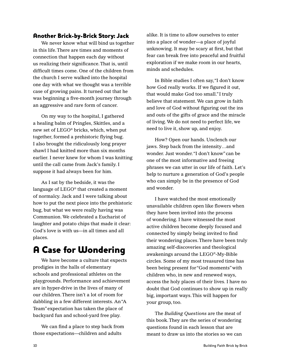#### Another Brick-by-Brick Story: Jack

We never know what will bind us together in this life. There are times and moments of connection that happen each day without us realizing their significance. That is, until difficult times come. One of the children from the church I serve walked into the hospital one day with what we thought was a terrible case of growing pains. It turned out that he was beginning a five-month journey through an aggressive and rare form of cancer.

On my way to the hospital, I gathered a healing balm of Pringles, Skittles, and a new set of LEGO® bricks, which, when put together, formed a prehistoric flying bug. I also brought the ridiculously long prayer shawl I had knitted more than six months earlier. I never knew for whom I was knitting until the call came from Jack's family. I suppose it had always been for him.

As I sat by the bedside, it was the language of LEGO® that created a moment of normalcy. Jack and I were talking about how to put the next piece into the prehistoric bug, but what we were really having was Communion. We celebrated a Eucharist of laughter and potato chips that made it clear: God's love is with us—in all times and all places.

### A Case for Wondering

We have become a culture that expects prodigies in the halls of elementary schools and professional athletes on the playgrounds. Performance and achievement are in hyper-drive in the lives of many of our children. There isn't a lot of room for dabbling in a few different interests. An "A Team" expectation has taken the place of backyard fun and school-yard free play.

We can find a place to step back from those expectations—children and adults

alike. It is time to allow ourselves to enter into a place of wonder—a place of joyful unknowing. It may be scary at first, but that fear can break free into peaceful and fruitful exploration if we make room in our hearts, minds and schedules.

In Bible studies I often say, "I don't know how God really works. If we figured it out, that would make God too small." I truly believe that statement. We can grow in faith and love of God without figuring out the ins and outs of the gifts of grace and the miracle of living. We do not need to perfect life, we need to live it, show up, and enjoy.

How? Open our hands. Unclench our jaws. Step back from the intensity…and wonder. Just wonder. "I don't know" can be one of the most informative and freeing phrases we can utter in our life of faith. Let's help to nurture a generation of God's people who can simply be in the presence of God and wonder.

I have watched the most emotionally unavailable children open like flowers when they have been invited into the process of wondering. I have witnessed the most active children become deeply focused and connected by simply being invited to find their wondering places. There have been truly amazing self-discoveries and theological awakenings around the LEGO®-My-Bible circles. Some of my most treasured time has been being present for "God moments" with children who, in new and renewed ways, access the holy places of their lives. I have no doubt that God continues to show up in really big, important ways. This will happen for your group, too.

The *Building Questions* are the meat of this book. They are the series of wondering questions found in each lesson that are meant to draw us into the stories so we can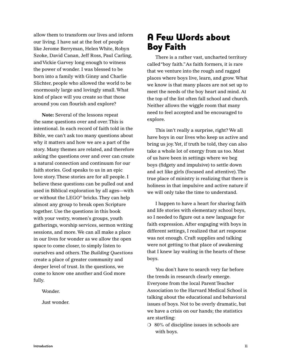allow them to transform our lives and inform our living. I have sat at the feet of people like Jerome Berryman, Helen White, Robyn Szoke, David Canan, Jeff Ross, Paul Carling, and Vickie Garvey long enough to witness the power of wonder. I was blessed to be born into a family with Ginny and Charlie Slichter, people who allowed the world to be enormously large and lovingly small. What kind of place will you create so that those around you can flourish and explore?

**Note:** Several of the lessons repeat the same questions over and over. This is intentional. In each record of faith told in the Bible, we can't ask too many questions about why it matters and how we are a part of the story. Many themes are related, and therefore asking the questions over and over can create a natural connection and continuum for our faith stories. God speaks to us in an epic love story. These stories are for all people. I believe these questions can be pulled out and used in Biblical exploration by all ages—with or without the LEGO® bricks. They can help almost any group to break open Scripture together. Use the questions in this book with your vestry, women's groups, youth gatherings, worship services, sermon writing sessions, and more. We can all make a place in our lives for wonder as we allow the open space to come closer, to simply listen to ourselves and others. The *Building Questions* create a place of greater community and deeper level of trust. In the questions, we come to know one another and God more fully.

Wonder.

Just wonder.

#### A Few Words about Boy Faith

There is a rather vast, uncharted territory called "boy faith." As faith formers, it is rare that we venture into the rough and ragged places where boys live, learn, and grow. What we know is that many places are not set up to meet the needs of the boy heart and mind. At the top of the list often fall school and church. Neither allows the wiggle room that many need to feel accepted and be encouraged to explore.

This isn't really a surprise, right? We all have boys in our lives who keep us active and bring us joy. Yet, if truth be told, they can also take a whole lot of energy from us too. Most of us have been in settings where we beg boys (fidgety and impulsive) to settle down and act like girls (focused and attentive). The true place of ministry is realizing that there is holiness in that impulsive and active nature if we will only take the time to understand.

I happen to have a heart for sharing faith and life stories with elementary school boys, so I needed to figure out a new language for faith expression. After engaging with boys in different settings, I realized that art response was not enough. Craft supplies and talking were not getting to that place of awakening that I knew lay waiting in the hearts of these boys.

You don't have to search very far before the trends in research clearly emerge. Everyone from the local Parent Teacher Association to the Harvard Medical School is talking about the educational and behavioral issues of boys. Not to be overly dramatic, but we have a crisis on our hands; the statistics are startling:

❍ 80% of discipline issues in schools are with boys.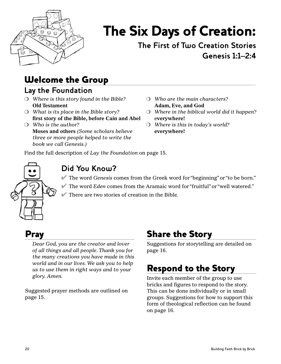

# The Six Days of Creation:

 **The First of Two Creation Stories Genesis 1:1–2:4**

### Welcome the Group

#### **Lay the Foundation**

- ❍ *Where is this story found in the Bible?* **Old Testament**
- ❍ *What is its place in the Bible story?* **first story of the Bible, before Cain and Abel**
- ❍ *Who is the author?* **Moses and others** *(Some scholars believe three or more people helped to write the book we call Genesis.)*
- ❍ *Who are the main characters?* **Adam, Eve, and God**
- ❍ *Where in the biblical world did it happen?* e**verywhere!**
- ❍ *Where is this in today's world?* **everywhere!**

Find the full description of *Lay the Foundation* on page 15.



#### **Did You Know?**

- ✔ The word *Genesis* comes from the Greek word for "beginning" or "to be born."
- ✔ The word *Eden* comes from the Aramaic word for "fruitful" or "well watered."

 $\blacktriangleright$  There are two stories of creation in the Bible.

### Pray

*Dear God, you are the creator and lover of all things and all people. Thank you for the many creations you have made in this world and in our lives. We ask you to help us to use them in right ways and to your glory. Amen.*

Suggested prayer methods are outlined on page 15.

### Share the Story

Suggestions for storytelling are detailed on page 16.

### Respond to the Story

Invite each member of the group to use bricks and figures to respond to the story. This can be done individually or in small groups. Suggestions for how to support this form of theological reflection can be found on page 16.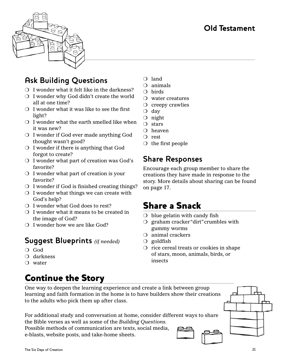#### **Old Testament**



#### **Ask Building Questions**

- $\bigcirc$  I wonder what it felt like in the darkness?
- ❍ I wonder why God didn't create the world all at one time?
- ❍ I wonder what it was like to see the first light?
- $\bigcirc$  I wonder what the earth smelled like when it was new?
- ❍ I wonder if God ever made anything God thought wasn't good?
- ❍ I wonder if there is anything that God forgot to create?
- ❍ I wonder what part of creation was God's favorite?
- ❍ I wonder what part of creation is your favorite?
- ❍ I wonder if God is finished creating things?
- $\bigcirc$  I wonder what things we can create with God's help?
- ❍ I wonder what God does to rest?
- ❍ I wonder what it means to be created in the image of God?
- ❍ I wonder how we are like God?

#### **Suggest Blueprints** *(if needed)*

- ❍ God
- ❍ darkness
- ❍ water

### Continue the Story

- ❍ land
- ❍ animals
- ❍ birds
- ❍ water creatures
- ❍ creepy crawlies
- ❍ day
- ❍ night
- ❍ stars
- ❍ heaven
- ❍ rest
- ❍ the first people

#### **Share Responses**

Encourage each group member to share the creations they have made in response to the story. More details about sharing can be found on page 17.

#### Share a Snack

- $\circ$  blue gelatin with candy fish
- ❍ graham cracker "dirt" crumbles with gummy worms
- ❍ animal crackers
- $\bigcirc$  goldfish
- ❍ rice cereal treats or cookies in shape of stars, moon, animals, birds, or insects

One way to deepen the learning experience and create a link between group learning and faith formation in the home is to have builders show their creations to the adults who pick them up after class.

For additional study and conversation at home, consider different ways to share the Bible verses as well as some of the *Building Questions.*

Possible methods of communication are texts, social media, e-blasts, website posts, and take-home sheets.

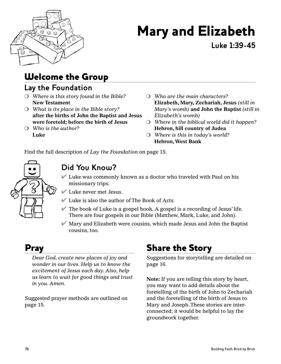

# Mary and Elizabeth

**Luke 1:39-45**

### Welcome the Group

#### **Lay the Foundation**

- ❍ *Where is this story found in the Bible?* **New Testament**
- ❍ *What is its place in the Bible story?* **after the births of John the Baptist and Jesus were foretold; before the birth of Jesus**
- ❍ *Who is the author?*  **Luke**
- ❍ *Who are the main characters?* **Elizabeth, Mary, Zechariah, Jesus** *(still in Mary's womb)* **and John the Baptist** *(still in Elizabeth's womb)*
- ❍ *Where in the biblical world did it happen?*  **Hebron, hill country of Judea**
- ❍ *Where is this in today's world?* **Hebron, West Bank**

Find the full description of *Lay the Foundation* on page 15.



#### **Did You Know?**

- $\blacktriangleright$  Luke was commonly known as a doctor who traveled with Paul on his missionary trips.
- ✔ Luke never met Jesus.
- $\blacktriangleright$  Luke is also the author of The Book of Acts.
- $\blacktriangleright$  The book of Luke is a gospel book. A gospel is a recording of Jesus' life. There are four gospels in our Bible (Matthew, Mark, Luke, and John).
- $\blacksquare$  Mary and Elizabeth were cousins, which made Jesus and John the Baptist cousins, too.

### Pray

*Dear God, create new places of joy and wonder in our lives. Help us to know the excitement of Jesus each day. Also, help us learn to wait for good things and trust in you. Amen.*

Suggested prayer methods are outlined on page 15.

### Share the Story

Suggestions for storytelling are detailed on page 16.

**Note:** If you are telling this story by heart, you may want to add details about the foretelling of the birth of John to Zechariah and the foretelling of the birth of Jesus to Mary and Joseph. These stories are interconnected; it would be helpful to lay the groundwork together.